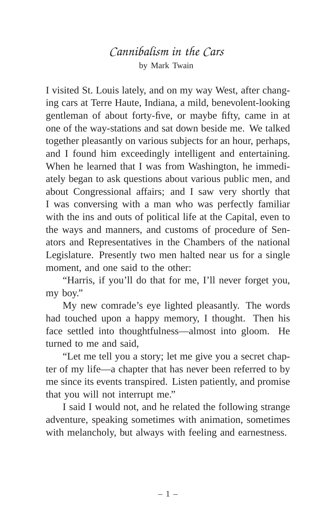## *Cannibalism in the Cars* by Mark Twain

I visited St. Louis lately, and on my way West, after changing cars at Terre Haute, Indiana, a mild, benevolent-looking gentleman of about forty-five, or maybe fifty, came in at one of the way-stations and sat down beside me. We talked together pleasantly on various subjects for an hour, perhaps, and I found him exceedingly intelligent and entertaining. When he learned that I was from Washington, he immediately began to ask questions about various public men, and about Congressional affairs; and I saw very shortly that I was conversing with a man who was perfectly familiar with the ins and outs of political life at the Capital, even to the ways and manners, and customs of procedure of Senators and Representatives in the Chambers of the national Legislature. Presently two men halted near us for a single moment, and one said to the other:

"Harris, if you'll do that for me, I'll never forget you, my boy."

My new comrade's eye lighted pleasantly. The words had touched upon a happy memory, I thought. Then his face settled into thoughtfulness—almost into gloom. He turned to me and said,

"Let me tell you a story; let me give you a secret chapter of my life—a chapter that has never been referred to by me since its events transpired. Listen patiently, and promise that you will not interrupt me."

I said I would not, and he related the following strange adventure, speaking sometimes with animation, sometimes with melancholy, but always with feeling and earnestness.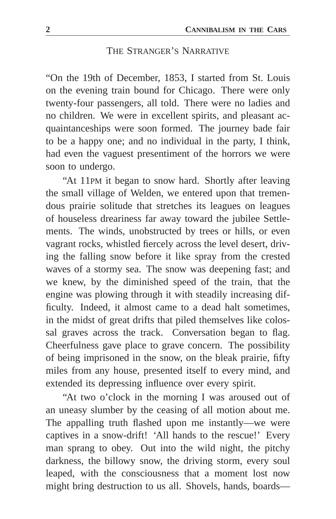## THE STRANGER'S NARRATIVE

"On the 19th of December, 1853, I started from St. Louis on the evening train bound for Chicago. There were only twenty-four passengers, all told. There were no ladies and no children. We were in excellent spirits, and pleasant acquaintanceships were soon formed. The journey bade fair to be a happy one; and no individual in the party, I think, had even the vaguest presentiment of the horrors we were soon to undergo.

"At 11PM it began to snow hard. Shortly after leaving the small village of Welden, we entered upon that tremendous prairie solitude that stretches its leagues on leagues of houseless dreariness far away toward the jubilee Settlements. The winds, unobstructed by trees or hills, or even vagrant rocks, whistled fiercely across the level desert, driving the falling snow before it like spray from the crested waves of a stormy sea. The snow was deepening fast; and we knew, by the diminished speed of the train, that the engine was plowing through it with steadily increasing difficulty. Indeed, it almost came to a dead halt sometimes, in the midst of great drifts that piled themselves like colossal graves across the track. Conversation began to flag. Cheerfulness gave place to grave concern. The possibility of being imprisoned in the snow, on the bleak prairie, fifty miles from any house, presented itself to every mind, and extended its depressing influence over every spirit.

"At two o'clock in the morning I was aroused out of an uneasy slumber by the ceasing of all motion about me. The appalling truth flashed upon me instantly—we were captives in a snow-drift! 'All hands to the rescue!' Every man sprang to obey. Out into the wild night, the pitchy darkness, the billowy snow, the driving storm, every soul leaped, with the consciousness that a moment lost now might bring destruction to us all. Shovels, hands, boards—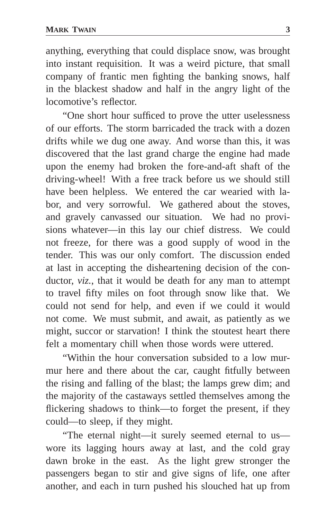anything, everything that could displace snow, was brought into instant requisition. It was a weird picture, that small company of frantic men fighting the banking snows, half in the blackest shadow and half in the angry light of the locomotive's reflector.

"One short hour sufficed to prove the utter uselessness of our efforts. The storm barricaded the track with a dozen drifts while we dug one away. And worse than this, it was discovered that the last grand charge the engine had made upon the enemy had broken the fore-and-aft shaft of the driving-wheel! With a free track before us we should still have been helpless. We entered the car wearied with labor, and very sorrowful. We gathered about the stoves, and gravely canvassed our situation. We had no provisions whatever—in this lay our chief distress. We could not freeze, for there was a good supply of wood in the tender. This was our only comfort. The discussion ended at last in accepting the disheartening decision of the conductor, *viz.*, that it would be death for any man to attempt to travel fifty miles on foot through snow like that. We could not send for help, and even if we could it would not come. We must submit, and await, as patiently as we might, succor or starvation! I think the stoutest heart there felt a momentary chill when those words were uttered.

"Within the hour conversation subsided to a low murmur here and there about the car, caught fitfully between the rising and falling of the blast; the lamps grew dim; and the majority of the castaways settled themselves among the flickering shadows to think—to forget the present, if they could—to sleep, if they might.

"The eternal night—it surely seemed eternal to us wore its lagging hours away at last, and the cold gray dawn broke in the east. As the light grew stronger the passengers began to stir and give signs of life, one after another, and each in turn pushed his slouched hat up from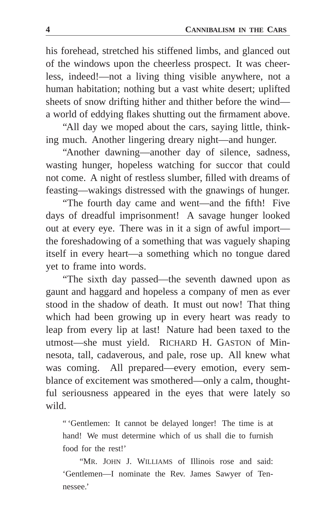his forehead, stretched his stiffened limbs, and glanced out of the windows upon the cheerless prospect. It was cheerless, indeed!—not a living thing visible anywhere, not a human habitation; nothing but a vast white desert; uplifted sheets of snow drifting hither and thither before the wind a world of eddying flakes shutting out the firmament above.

"All day we moped about the cars, saying little, thinking much. Another lingering dreary night—and hunger.

"Another dawning—another day of silence, sadness, wasting hunger, hopeless watching for succor that could not come. A night of restless slumber, filled with dreams of feasting—wakings distressed with the gnawings of hunger.

"The fourth day came and went—and the fifth! Five days of dreadful imprisonment! A savage hunger looked out at every eye. There was in it a sign of awful import the foreshadowing of a something that was vaguely shaping itself in every heart—a something which no tongue dared yet to frame into words.

"The sixth day passed—the seventh dawned upon as gaunt and haggard and hopeless a company of men as ever stood in the shadow of death. It must out now! That thing which had been growing up in every heart was ready to leap from every lip at last! Nature had been taxed to the utmost—she must yield. RICHARD H. GASTON of Minnesota, tall, cadaverous, and pale, rose up. All knew what was coming. All prepared—every emotion, every semblance of excitement was smothered—only a calm, thoughtful seriousness appeared in the eyes that were lately so wild.

" 'Gentlemen: It cannot be delayed longer! The time is at hand! We must determine which of us shall die to furnish food for the rest!'

"MR. JOHN J. WILLIAMS of Illinois rose and said: 'Gentlemen—I nominate the Rev. James Sawyer of Tennessee.'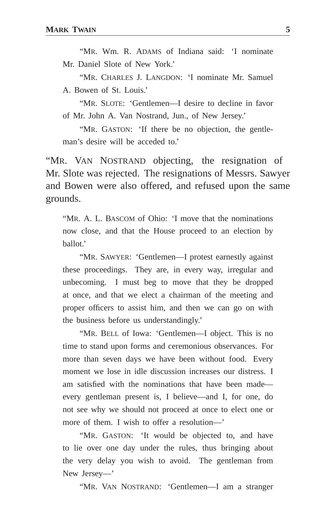"MR. Wm. R. ADAMS of Indiana said: 'I nominate Mr. Daniel Slote of New York.'

"MR. CHARLES J. LANGDON: 'I nominate Mr. Samuel A. Bowen of St. Louis.'

"MR. SLOTE: 'Gentlemen—I desire to decline in favor of Mr. John A. Van Nostrand, Jun., of New Jersey.'

"MR. GASTON: 'If there be no objection, the gentleman's desire will be acceded to.'

"MR. VAN NOSTRAND objecting, the resignation of Mr. Slote was rejected. The resignations of Messrs. Sawyer and Bowen were also offered, and refused upon the same grounds.

"MR. A. L. BASCOM of Ohio: 'I move that the nominations now close, and that the House proceed to an election by ballot.'

"MR. SAWYER: 'Gentlemen—I protest earnestly against these proceedings. They are, in every way, irregular and unbecoming. I must beg to move that they be dropped at once, and that we elect a chairman of the meeting and proper officers to assist him, and then we can go on with the business before us understandingly.'

"MR. BELL of Iowa: 'Gentlemen—I object. This is no time to stand upon forms and ceremonious observances. For more than seven days we have been without food. Every moment we lose in idle discussion increases our distress. I am satisfied with the nominations that have been made every gentleman present is, I believe—and I, for one, do not see why we should not proceed at once to elect one or more of them. I wish to offer a resolution—'

"MR. GASTON: 'It would be objected to, and have to lie over one day under the rules, thus bringing about the very delay you wish to avoid. The gentleman from New Jersey—'

"MR. VAN NOSTRAND: 'Gentlemen—I am a stranger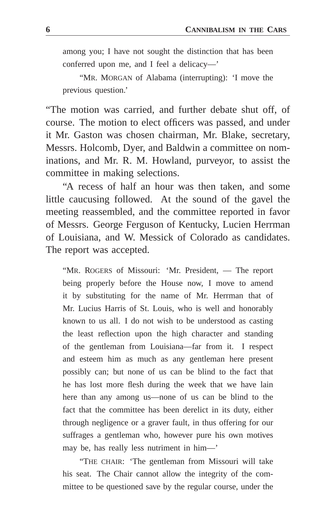among you; I have not sought the distinction that has been conferred upon me, and I feel a delicacy—'

"MR. MORGAN of Alabama (interrupting): 'I move the previous question.'

"The motion was carried, and further debate shut off, of course. The motion to elect officers was passed, and under it Mr. Gaston was chosen chairman, Mr. Blake, secretary, Messrs. Holcomb, Dyer, and Baldwin a committee on nominations, and Mr. R. M. Howland, purveyor, to assist the committee in making selections.

"A recess of half an hour was then taken, and some little caucusing followed. At the sound of the gavel the meeting reassembled, and the committee reported in favor of Messrs. George Ferguson of Kentucky, Lucien Herrman of Louisiana, and W. Messick of Colorado as candidates. The report was accepted.

"MR. ROGERS of Missouri: 'Mr. President, — The report being properly before the House now, I move to amend it by substituting for the name of Mr. Herrman that of Mr. Lucius Harris of St. Louis, who is well and honorably known to us all. I do not wish to be understood as casting the least reflection upon the high character and standing of the gentleman from Louisiana—far from it. I respect and esteem him as much as any gentleman here present possibly can; but none of us can be blind to the fact that he has lost more flesh during the week that we have lain here than any among us—none of us can be blind to the fact that the committee has been derelict in its duty, either through negligence or a graver fault, in thus offering for our suffrages a gentleman who, however pure his own motives may be, has really less nutriment in him—'

"THE CHAIR: 'The gentleman from Missouri will take his seat. The Chair cannot allow the integrity of the committee to be questioned save by the regular course, under the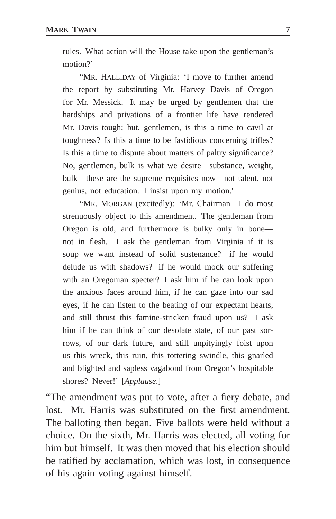rules. What action will the House take upon the gentleman's motion?'

"MR. HALLIDAY of Virginia: 'I move to further amend the report by substituting Mr. Harvey Davis of Oregon for Mr. Messick. It may be urged by gentlemen that the hardships and privations of a frontier life have rendered Mr. Davis tough; but, gentlemen, is this a time to cavil at toughness? Is this a time to be fastidious concerning trifles? Is this a time to dispute about matters of paltry significance? No, gentlemen, bulk is what we desire—substance, weight, bulk—these are the supreme requisites now—not talent, not genius, not education. I insist upon my motion.'

"MR. MORGAN (excitedly): 'Mr. Chairman—I do most strenuously object to this amendment. The gentleman from Oregon is old, and furthermore is bulky only in bone not in flesh. I ask the gentleman from Virginia if it is soup we want instead of solid sustenance? if he would delude us with shadows? if he would mock our suffering with an Oregonian specter? I ask him if he can look upon the anxious faces around him, if he can gaze into our sad eyes, if he can listen to the beating of our expectant hearts, and still thrust this famine-stricken fraud upon us? I ask him if he can think of our desolate state, of our past sorrows, of our dark future, and still unpityingly foist upon us this wreck, this ruin, this tottering swindle, this gnarled and blighted and sapless vagabond from Oregon's hospitable shores? Never!' [*Applause*.]

"The amendment was put to vote, after a fiery debate, and lost. Mr. Harris was substituted on the first amendment. The balloting then began. Five ballots were held without a choice. On the sixth, Mr. Harris was elected, all voting for him but himself. It was then moved that his election should be ratified by acclamation, which was lost, in consequence of his again voting against himself.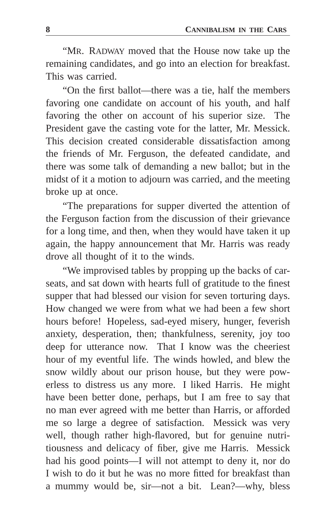"MR. RADWAY moved that the House now take up the remaining candidates, and go into an election for breakfast. This was carried.

"On the first ballot—there was a tie, half the members favoring one candidate on account of his youth, and half favoring the other on account of his superior size. The President gave the casting vote for the latter, Mr. Messick. This decision created considerable dissatisfaction among the friends of Mr. Ferguson, the defeated candidate, and there was some talk of demanding a new ballot; but in the midst of it a motion to adjourn was carried, and the meeting broke up at once.

"The preparations for supper diverted the attention of the Ferguson faction from the discussion of their grievance for a long time, and then, when they would have taken it up again, the happy announcement that Mr. Harris was ready drove all thought of it to the winds.

"We improvised tables by propping up the backs of carseats, and sat down with hearts full of gratitude to the finest supper that had blessed our vision for seven torturing days. How changed we were from what we had been a few short hours before! Hopeless, sad-eyed misery, hunger, feverish anxiety, desperation, then; thankfulness, serenity, joy too deep for utterance now. That I know was the cheeriest hour of my eventful life. The winds howled, and blew the snow wildly about our prison house, but they were powerless to distress us any more. I liked Harris. He might have been better done, perhaps, but I am free to say that no man ever agreed with me better than Harris, or afforded me so large a degree of satisfaction. Messick was very well, though rather high-flavored, but for genuine nutritiousness and delicacy of fiber, give me Harris. Messick had his good points—I will not attempt to deny it, nor do I wish to do it but he was no more fitted for breakfast than a mummy would be, sir—not a bit. Lean?—why, bless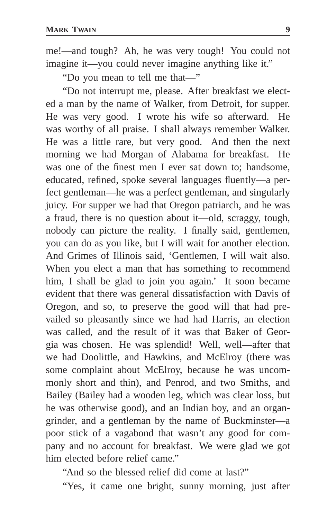me!—and tough? Ah, he was very tough! You could not imagine it—you could never imagine anything like it."

"Do you mean to tell me that—"

"Do not interrupt me, please. After breakfast we elected a man by the name of Walker, from Detroit, for supper. He was very good. I wrote his wife so afterward. He was worthy of all praise. I shall always remember Walker. He was a little rare, but very good. And then the next morning we had Morgan of Alabama for breakfast. He was one of the finest men I ever sat down to; handsome, educated, refined, spoke several languages fluently—a perfect gentleman—he was a perfect gentleman, and singularly juicy. For supper we had that Oregon patriarch, and he was a fraud, there is no question about it—old, scraggy, tough, nobody can picture the reality. I finally said, gentlemen, you can do as you like, but I will wait for another election. And Grimes of Illinois said, 'Gentlemen, I will wait also. When you elect a man that has something to recommend him, I shall be glad to join you again.' It soon became evident that there was general dissatisfaction with Davis of Oregon, and so, to preserve the good will that had prevailed so pleasantly since we had had Harris, an election was called, and the result of it was that Baker of Georgia was chosen. He was splendid! Well, well—after that we had Doolittle, and Hawkins, and McElroy (there was some complaint about McElroy, because he was uncommonly short and thin), and Penrod, and two Smiths, and Bailey (Bailey had a wooden leg, which was clear loss, but he was otherwise good), and an Indian boy, and an organgrinder, and a gentleman by the name of Buckminster—a poor stick of a vagabond that wasn't any good for company and no account for breakfast. We were glad we got him elected before relief came."

"And so the blessed relief did come at last?"

"Yes, it came one bright, sunny morning, just after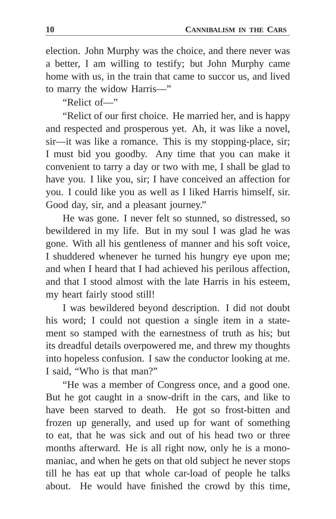election. John Murphy was the choice, and there never was a better, I am willing to testify; but John Murphy came home with us, in the train that came to succor us, and lived to marry the widow Harris—"

"Relict of—"

"Relict of our first choice. He married her, and is happy and respected and prosperous yet. Ah, it was like a novel, sir—it was like a romance. This is my stopping-place, sir; I must bid you goodby. Any time that you can make it convenient to tarry a day or two with me, I shall be glad to have you. I like you, sir; I have conceived an affection for you. I could like you as well as I liked Harris himself, sir. Good day, sir, and a pleasant journey."

He was gone. I never felt so stunned, so distressed, so bewildered in my life. But in my soul I was glad he was gone. With all his gentleness of manner and his soft voice, I shuddered whenever he turned his hungry eye upon me; and when I heard that I had achieved his perilous affection, and that I stood almost with the late Harris in his esteem, my heart fairly stood still!

I was bewildered beyond description. I did not doubt his word; I could not question a single item in a statement so stamped with the earnestness of truth as his; but its dreadful details overpowered me, and threw my thoughts into hopeless confusion. I saw the conductor looking at me. I said, "Who is that man?"

"He was a member of Congress once, and a good one. But he got caught in a snow-drift in the cars, and like to have been starved to death. He got so frost-bitten and frozen up generally, and used up for want of something to eat, that he was sick and out of his head two or three months afterward. He is all right now, only he is a monomaniac, and when he gets on that old subject he never stops till he has eat up that whole car-load of people he talks about. He would have finished the crowd by this time,